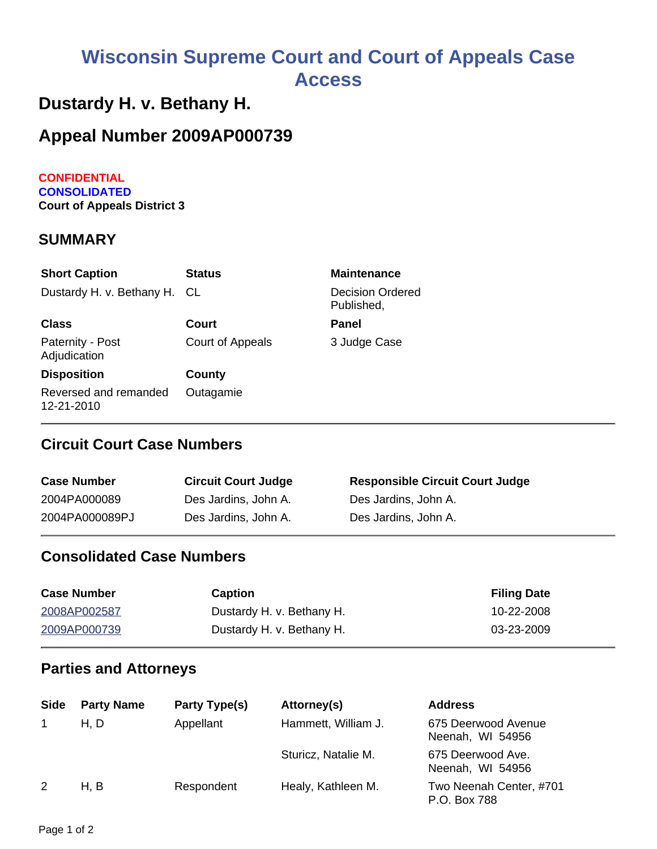# **Wisconsin Supreme Court and Court of Appeals Case Access**

## **Dustardy H. v. Bethany H.**

## **Appeal Number 2009AP000739**

**CONFIDENTIAL CONSOLIDATED Court of Appeals District 3**

#### **SUMMARY**

| <b>Short Caption</b>                | <b>Status</b>    | <b>Maintenance</b>                    |
|-------------------------------------|------------------|---------------------------------------|
| Dustardy H. v. Bethany H. CL        |                  | <b>Decision Ordered</b><br>Published, |
| <b>Class</b>                        | Court            | Panel                                 |
| Paternity - Post<br>Adjudication    | Court of Appeals | 3 Judge Case                          |
| <b>Disposition</b>                  | County           |                                       |
| Reversed and remanded<br>12-21-2010 | Outagamie        |                                       |

## **Circuit Court Case Numbers**

| <b>Case Number</b> | <b>Circuit Court Judge</b> | <b>Responsible Circuit Court Judge</b> |
|--------------------|----------------------------|----------------------------------------|
| 2004PA000089       | Des Jardins, John A.       | Des Jardins, John A.                   |
| 2004PA000089PJ     | Des Jardins, John A.       | Des Jardins, John A.                   |

### **Consolidated Case Numbers**

| <b>Case Number</b> | <b>Caption</b>            | <b>Filing Date</b> |
|--------------------|---------------------------|--------------------|
| 2008AP002587       | Dustardy H. v. Bethany H. | 10-22-2008         |
| 2009AP000739       | Dustardy H. v. Bethany H. | 03-23-2009         |

#### **Parties and Attorneys**

| <b>Side</b> | <b>Party Name</b> | Party Type(s) | Attorney(s)         | <b>Address</b>                          |
|-------------|-------------------|---------------|---------------------|-----------------------------------------|
|             | H, D              | Appellant     | Hammett, William J. | 675 Deerwood Avenue<br>Neenah, WI 54956 |
|             |                   |               | Sturicz, Natalie M. | 675 Deerwood Ave.<br>Neenah, WI 54956   |
| 2           | H. B              | Respondent    | Healy, Kathleen M.  | Two Neenah Center, #701<br>P.O. Box 788 |